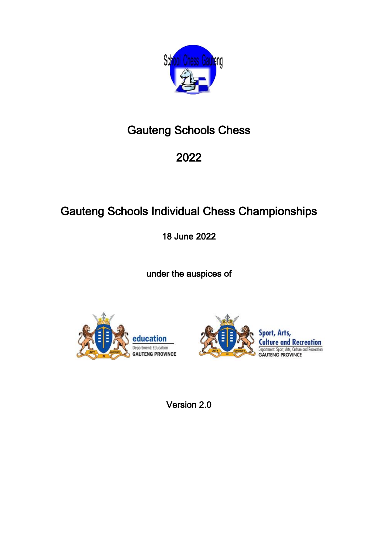

# Gauteng Schools Chess

# 2022

# Gauteng Schools Individual Chess Championships

18 June 2022

under the auspices of





Version 2.0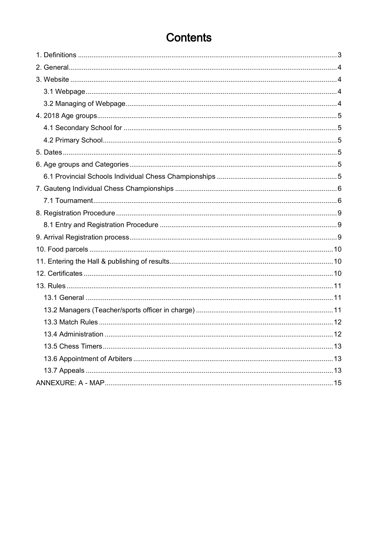## **Contents**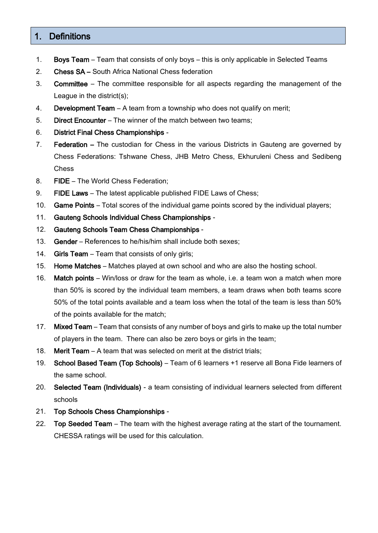## <span id="page-2-0"></span>1. Definitions

- 1. Boys Team Team that consists of only boys this is only applicable in Selected Teams
- 2. Chess SA South Africa National Chess federation
- 3. Committee The committee responsible for all aspects regarding the management of the League in the district(s);
- 4. Development Team A team from a township who does not qualify on merit;
- 5. Direct Encounter The winner of the match between two teams;
- 6. District Final Chess Championships -
- 7. Federation The custodian for Chess in the various Districts in Gauteng are governed by Chess Federations: Tshwane Chess, JHB Metro Chess, Ekhuruleni Chess and Sedibeng Chess
- 8. FIDE The World Chess Federation;
- 9. FIDE Laws The latest applicable published FIDE Laws of Chess;
- 10. Game Points Total scores of the individual game points scored by the individual players;
- 11. Gauteng Schools Individual Chess Championships -
- 12. Gauteng Schools Team Chess Championships -
- 13. Gender References to he/his/him shall include both sexes;
- 14. Girls Team Team that consists of only girls;
- 15. Home Matches Matches played at own school and who are also the hosting school.
- 16. Match points Win/loss or draw for the team as whole, i.e. a team won a match when more than 50% is scored by the individual team members, a team draws when both teams score 50% of the total points available and a team loss when the total of the team is less than 50% of the points available for the match;
- 17. Mixed Team Team that consists of any number of boys and girls to make up the total number of players in the team. There can also be zero boys or girls in the team;
- 18. Merit Team A team that was selected on merit at the district trials;
- 19. School Based Team (Top Schools) Team of 6 learners +1 reserve all Bona Fide learners of the same school.
- 20. Selected Team (Individuals) a team consisting of individual learners selected from different schools
- 21. Top Schools Chess Championships -
- 22. Top Seeded Team The team with the highest average rating at the start of the tournament. CHESSA ratings will be used for this calculation.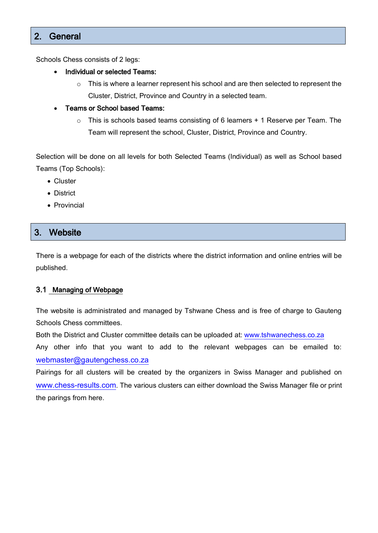## <span id="page-3-0"></span>2. General

Schools Chess consists of 2 legs:

- Individual or selected Teams:
	- o This is where a learner represent his school and are then selected to represent the Cluster, District, Province and Country in a selected team.
- Teams or School based Teams:
	- o This is schools based teams consisting of 6 learners + 1 Reserve per Team. The Team will represent the school, Cluster, District, Province and Country.

Selection will be done on all levels for both Selected Teams (Individual) as well as School based Teams (Top Schools):

- Cluster
- District
- Provincial

## <span id="page-3-1"></span>3. Website

There is a webpage for each of the districts where the district information and online entries will be published.

#### <span id="page-3-2"></span>3.1 Managing of Webpage

The website is administrated and managed by Tshwane Chess and is free of charge to Gauteng Schools Chess committees.

Both the District and Cluster committee details can be uploaded at: [www.tshwanechess.co.za](http://www.tshwanechess.co.za/)

Any other info that you want to add to the relevant webpages can be emailed to: [webmaster@gautengchess.co.za](mailto:webmaster@tshwanechess.co.za)

Pairings for all clusters will be created by the organizers in Swiss Manager and published on [www.chess-results.com](http://www.chess-results.com/). The various clusters can either download the Swiss Manager file or print the parings from here.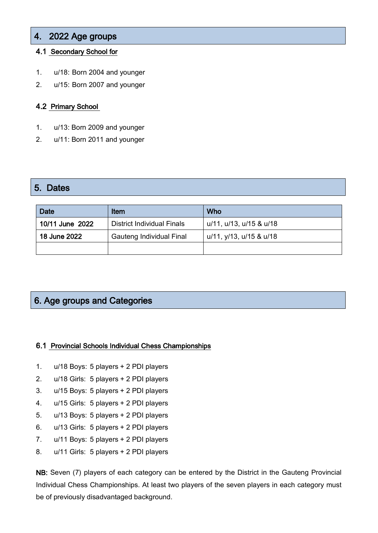## <span id="page-4-0"></span>4. 2022 Age groups

#### <span id="page-4-1"></span>4.1 Secondary School for

- 1. u/18: Born 2004 and younger
- 2. u/15: Born 2007 and younger

#### <span id="page-4-2"></span>4.2 Primary School

- 1. u/13: Born 2009 and younger
- 2. u/11: Born 2011 and younger

#### <span id="page-4-3"></span>5. Dates

| <b>Date</b><br>Item |                                   | Who                     |
|---------------------|-----------------------------------|-------------------------|
| 10/11 June 2022     | <b>District Individual Finals</b> | u/11, u/13, u/15 & u/18 |
| 18 June 2022        | Gauteng Individual Final          | u/11, y/13, u/15 & u/18 |
|                     |                                   |                         |

## <span id="page-4-4"></span>6. Age groups and Categories

#### <span id="page-4-5"></span>6.1 Provincial Schools Individual Chess Championships

- 1. u/18 Boys: 5 players + 2 PDI players
- 2. u/18 Girls: 5 players + 2 PDI players
- 3. u/15 Boys: 5 players + 2 PDI players
- 4. u/15 Girls: 5 players + 2 PDI players
- 5. u/13 Boys: 5 players + 2 PDI players
- 6. u/13 Girls: 5 players + 2 PDI players
- 7. u/11 Boys: 5 players + 2 PDI players
- 8. u/11 Girls: 5 players + 2 PDI players

NB: Seven (7) players of each category can be entered by the District in the Gauteng Provincial Individual Chess Championships. At least two players of the seven players in each category must be of previously disadvantaged background.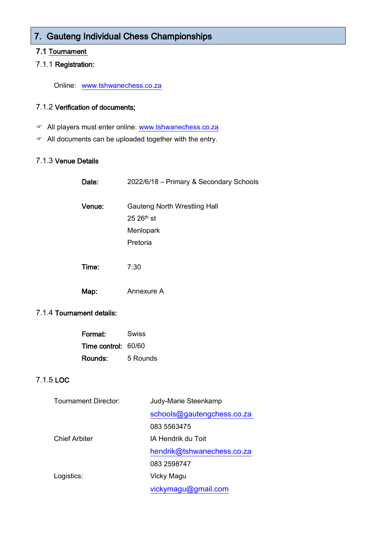## <span id="page-5-0"></span>7. Gauteng Individual Chess Championships

#### <span id="page-5-1"></span>7.1 Tournament

#### 7.1.1 Registration:

Online: [www.tshwanechess.co.za](http://www.tshwanechess.co.za/)

#### 7.1.2 Verification of documents;

- All players must enter online: [www.tshwanechess.co.za](http://www.tshwanechess.co.za/)
- All documents can be uploaded together with the entry.

#### 7.1.3 Venue Details

| Date:  | 2022/6/18 - Primary & Secondary Schools                                           |
|--------|-----------------------------------------------------------------------------------|
| Venue: | Gauteng North Wrestling Hall<br>$25.26$ <sup>th</sup> st<br>Menlopark<br>Pretoria |
| Time:  | 7:30                                                                              |
| Map:   | Annexure A                                                                        |

#### 7.1.4 Tournament details:

| Format:             | Swiss    |  |  |
|---------------------|----------|--|--|
| Time control: 60/60 |          |  |  |
| Rounds:             | 5 Rounds |  |  |

#### 7.1.5 LOC

| Tournament Director: | Judy-Marie Steenkamp       |  |  |
|----------------------|----------------------------|--|--|
|                      | schools@gautengchess.co.za |  |  |
|                      | 083 5563475                |  |  |
| <b>Chief Arbiter</b> | IA Hendrik du Toit         |  |  |
|                      | hendrik@tshwanechess.co.za |  |  |
|                      | 083 2598747                |  |  |
| Logistics:           | Vicky Magu                 |  |  |
|                      | vickymagu@gmail.com        |  |  |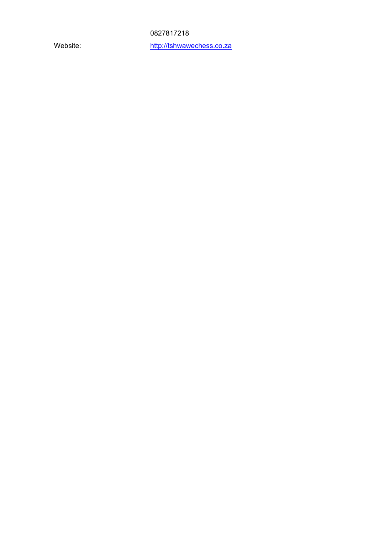0827817218

Website: [http://tshwawechess.co.za](http://tshwawechess.co.zap/)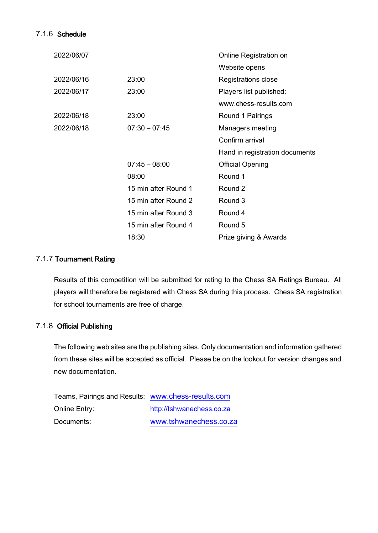#### 7.1.6 Schedule

| 2022/06/07 |                      | Online Registration on         |
|------------|----------------------|--------------------------------|
|            |                      | Website opens                  |
| 2022/06/16 | 23:00                | Registrations close            |
| 2022/06/17 | 23:00                | Players list published:        |
|            |                      | www.chess-results.com          |
| 2022/06/18 | 23:00                | Round 1 Pairings               |
| 2022/06/18 | $07:30 - 07:45$      | Managers meeting               |
|            |                      | Confirm arrival                |
|            |                      | Hand in registration documents |
|            | $07:45 - 08:00$      | <b>Official Opening</b>        |
|            | 08:00                | Round 1                        |
|            | 15 min after Round 1 | Round 2                        |
|            | 15 min after Round 2 | Round 3                        |
|            | 15 min after Round 3 | Round 4                        |
|            | 15 min after Round 4 | Round 5                        |
|            | 18:30                | Prize giving & Awards          |

#### 7.1.7 Tournament Rating

Results of this competition will be submitted for rating to the Chess SA Ratings Bureau. All players will therefore be registered with Chess SA during this process. Chess SA registration for school tournaments are free of charge.

#### 7.1.8 Official Publishing

The following web sites are the publishing sites. Only documentation and information gathered from these sites will be accepted as official. Please be on the lookout for version changes and new documentation.

| Teams, Pairings and Results: www.chess-results.com |                           |  |  |
|----------------------------------------------------|---------------------------|--|--|
| Online Entry:                                      | http://tshwanechess.co.za |  |  |
| Documents:                                         | www.tshwanechess.co.za    |  |  |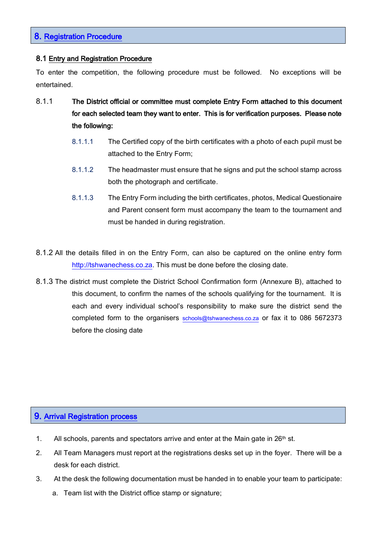### <span id="page-8-0"></span>8. Registration Procedure

#### <span id="page-8-1"></span>8.1 Entry and Registration Procedure

To enter the competition, the following procedure must be followed. No exceptions will be entertained.

- 8.1.1 The District official or committee must complete Entry Form attached to this document for each selected team they want to enter. This is for verification purposes. Please note the following:
	- 8.1.1.1 The Certified copy of the birth certificates with a photo of each pupil must be attached to the Entry Form;
	- 8.1.1.2 The headmaster must ensure that he signs and put the school stamp across both the photograph and certificate.
	- 8.1.1.3 The Entry Form including the birth certificates, photos, Medical Questionaire and Parent consent form must accompany the team to the tournament and must be handed in during registration.
- 8.1.2 All the details filled in on the Entry Form, can also be captured on the online entry form [http://tshwanechess.co.za.](http://tshwanechess.co.za/) This must be done before the closing date.
- 8.1.3 The district must complete the District School Confirmation form (Annexure B), attached to this document, to confirm the names of the schools qualifying for the tournament. It is each and every individual school's responsibility to make sure the district send the completed form to the organisers [schools@tshwanechess.co.za](mailto:schools@tshwanechess.co.za) or fax it to 086 5672373 before the closing date

### <span id="page-8-2"></span>9. Arrival Registration process

- 1. All schools, parents and spectators arrive and enter at the Main gate in  $26<sup>th</sup>$  st.
- 2. All Team Managers must report at the registrations desks set up in the foyer. There will be a desk for each district.
- 3. At the desk the following documentation must be handed in to enable your team to participate:
	- a. Team list with the District office stamp or signature;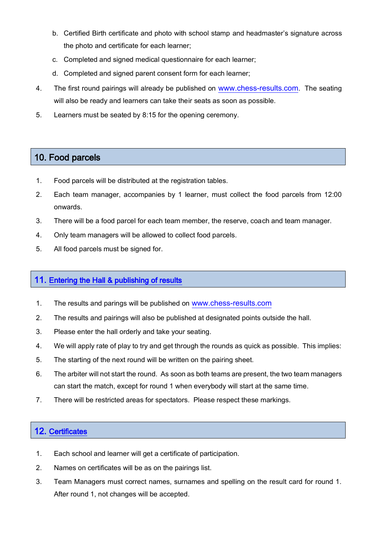- b. Certified Birth certificate and photo with school stamp and headmaster's signature across the photo and certificate for each learner;
- c. Completed and signed medical questionnaire for each learner;
- d. Completed and signed parent consent form for each learner;
- 4. The first round pairings will already be published on [www.chess-results.com](http://www.chess-results.com/). The seating will also be ready and learners can take their seats as soon as possible.
- 5. Learners must be seated by 8:15 for the opening ceremony.

## <span id="page-9-0"></span>10. Food parcels

- 1. Food parcels will be distributed at the registration tables.
- 2. Each team manager, accompanies by 1 learner, must collect the food parcels from 12:00 onwards.
- 3. There will be a food parcel for each team member, the reserve, coach and team manager.
- 4. Only team managers will be allowed to collect food parcels.
- 5. All food parcels must be signed for.

### <span id="page-9-1"></span>11. Entering the Hall & publishing of results

- 1. The results and parings will be published on [www.chess-results.com](http://www.chess-results.com/)
- 2. The results and pairings will also be published at designated points outside the hall.
- 3. Please enter the hall orderly and take your seating.
- 4. We will apply rate of play to try and get through the rounds as quick as possible. This implies:
- 5. The starting of the next round will be written on the pairing sheet.
- 6. The arbiter will not start the round. As soon as both teams are present, the two team managers can start the match, except for round 1 when everybody will start at the same time.
- 7. There will be restricted areas for spectators. Please respect these markings.

### <span id="page-9-2"></span>12. Certificates

- 1. Each school and learner will get a certificate of participation.
- 2. Names on certificates will be as on the pairings list.
- 3. Team Managers must correct names, surnames and spelling on the result card for round 1. After round 1, not changes will be accepted.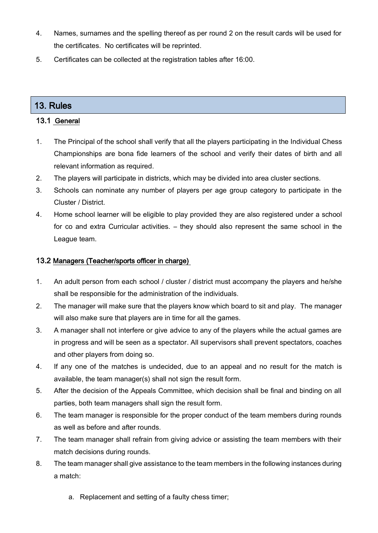- 4. Names, surnames and the spelling thereof as per round 2 on the result cards will be used for the certificates. No certificates will be reprinted.
- 5. Certificates can be collected at the registration tables after 16:00.

## <span id="page-10-0"></span>13. Rules

#### <span id="page-10-1"></span>13.1 General

- 1. The Principal of the school shall verify that all the players participating in the Individual Chess Championships are bona fide learners of the school and verify their dates of birth and all relevant information as required.
- 2. The players will participate in districts, which may be divided into area cluster sections.
- 3. Schools can nominate any number of players per age group category to participate in the Cluster / District.
- 4. Home school learner will be eligible to play provided they are also registered under a school for co and extra Curricular activities. – they should also represent the same school in the League team.

#### <span id="page-10-2"></span>13.2 Managers (Teacher/sports officer in charge)

- 1. An adult person from each school / cluster / district must accompany the players and he/she shall be responsible for the administration of the individuals.
- 2. The manager will make sure that the players know which board to sit and play. The manager will also make sure that players are in time for all the games.
- 3. A manager shall not interfere or give advice to any of the players while the actual games are in progress and will be seen as a spectator. All supervisors shall prevent spectators, coaches and other players from doing so.
- 4. If any one of the matches is undecided, due to an appeal and no result for the match is available, the team manager(s) shall not sign the result form.
- 5. After the decision of the Appeals Committee, which decision shall be final and binding on all parties, both team managers shall sign the result form.
- 6. The team manager is responsible for the proper conduct of the team members during rounds as well as before and after rounds.
- 7. The team manager shall refrain from giving advice or assisting the team members with their match decisions during rounds.
- 8. The team manager shall give assistance to the team members in the following instances during a match:
	- a. Replacement and setting of a faulty chess timer;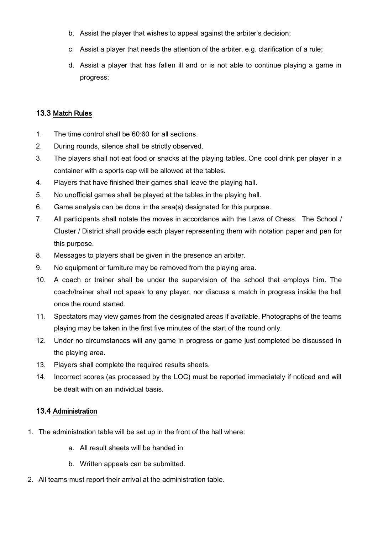- b. Assist the player that wishes to appeal against the arbiter's decision;
- c. Assist a player that needs the attention of the arbiter, e.g. clarification of a rule;
- d. Assist a player that has fallen ill and or is not able to continue playing a game in progress;

#### <span id="page-11-0"></span>13.3 Match Rules

- 1. The time control shall be 60:60 for all sections.
- 2. During rounds, silence shall be strictly observed.
- 3. The players shall not eat food or snacks at the playing tables. One cool drink per player in a container with a sports cap will be allowed at the tables.
- 4. Players that have finished their games shall leave the playing hall.
- 5. No unofficial games shall be played at the tables in the playing hall.
- 6. Game analysis can be done in the area(s) designated for this purpose.
- 7. All participants shall notate the moves in accordance with the Laws of Chess. The School / Cluster / District shall provide each player representing them with notation paper and pen for this purpose.
- 8. Messages to players shall be given in the presence an arbiter.
- 9. No equipment or furniture may be removed from the playing area.
- 10. A coach or trainer shall be under the supervision of the school that employs him. The coach/trainer shall not speak to any player, nor discuss a match in progress inside the hall once the round started.
- 11. Spectators may view games from the designated areas if available. Photographs of the teams playing may be taken in the first five minutes of the start of the round only.
- 12. Under no circumstances will any game in progress or game just completed be discussed in the playing area.
- 13. Players shall complete the required results sheets.
- 14. Incorrect scores (as processed by the LOC) must be reported immediately if noticed and will be dealt with on an individual basis.

#### <span id="page-11-1"></span>13.4 Administration

- 1. The administration table will be set up in the front of the hall where:
	- a. All result sheets will be handed in
	- b. Written appeals can be submitted.
- 2. All teams must report their arrival at the administration table.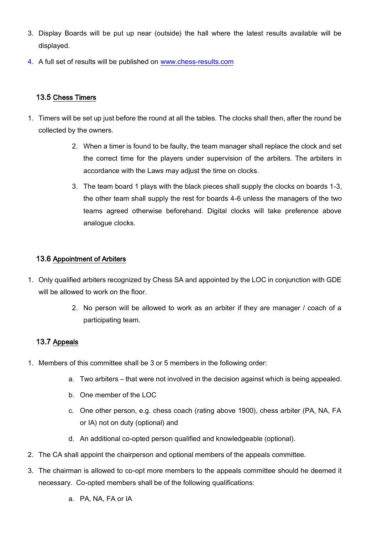- 3. Display Boards will be put up near (outside) the hall where the latest results available will be displayed.
- 4. A full set of results will be published on [www.chess-results.com](http://www.chess-results.com/)

#### <span id="page-12-0"></span>13.5 Chess Timers

- 1. Timers will be set up just before the round at all the tables. The clocks shall then, after the round be collected by the owners.
	- 2. When a timer is found to be faulty, the team manager shall replace the clock and set the correct time for the players under supervision of the arbiters. The arbiters in accordance with the Laws may adjust the time on clocks.
	- 3. The team board 1 plays with the black pieces shall supply the clocks on boards 1-3, the other team shall supply the rest for boards 4-6 unless the managers of the two teams agreed otherwise beforehand. Digital clocks will take preference above analogue clocks.

#### <span id="page-12-1"></span>13.6 Appointment of Arbiters

- 1. Only qualified arbiters recognized by Chess SA and appointed by the LOC in conjunction with GDE will be allowed to work on the floor.
	- 2. No person will be allowed to work as an arbiter if they are manager / coach of a participating team.

#### <span id="page-12-2"></span>13.7 Appeals

- 1. Members of this committee shall be 3 or 5 members in the following order:
	- a. Two arbiters that were not involved in the decision against which is being appealed.
	- b. One member of the LOC
	- c. One other person, e.g. chess coach (rating above 1900), chess arbiter (PA, NA, FA or IA) not on duty (optional) and
	- d. An additional co-opted person qualified and knowledgeable (optional).
- 2. The CA shall appoint the chairperson and optional members of the appeals committee.
- 3. The chairman is allowed to co-opt more members to the appeals committee should he deemed it necessary. Co-opted members shall be of the following qualifications:
	- a. PA, NA, FA or IA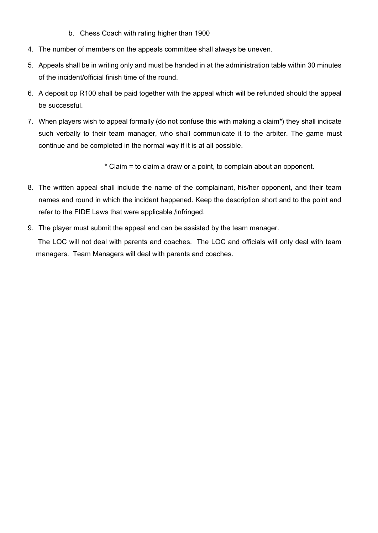- b. Chess Coach with rating higher than 1900
- 4. The number of members on the appeals committee shall always be uneven.
- 5. Appeals shall be in writing only and must be handed in at the administration table within 30 minutes of the incident/official finish time of the round.
- 6. A deposit op R100 shall be paid together with the appeal which will be refunded should the appeal be successful.
- 7. When players wish to appeal formally (do not confuse this with making a claim\*) they shall indicate such verbally to their team manager, who shall communicate it to the arbiter. The game must continue and be completed in the normal way if it is at all possible.

\* Claim = to claim a draw or a point, to complain about an opponent.

- 8. The written appeal shall include the name of the complainant, his/her opponent, and their team names and round in which the incident happened. Keep the description short and to the point and refer to the FIDE Laws that were applicable /infringed.
- 9. The player must submit the appeal and can be assisted by the team manager.

The LOC will not deal with parents and coaches. The LOC and officials will only deal with team managers. Team Managers will deal with parents and coaches.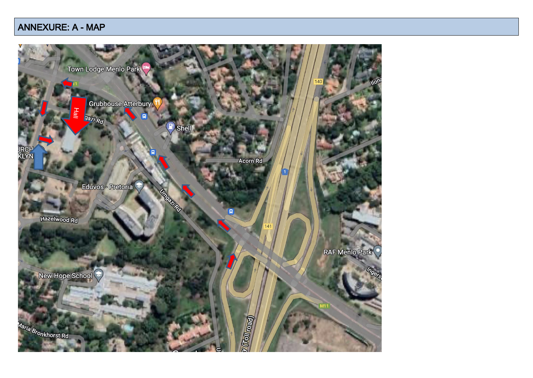## ANNEXURE: A - MAP

<span id="page-14-0"></span>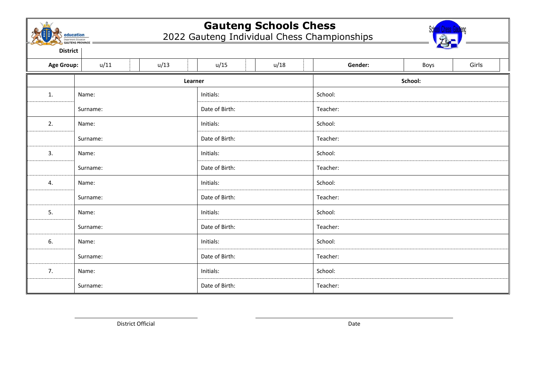

## **Gauteng Schools Chess**

2022 Gauteng Individual Chess Championships



**District**

| <b>Age Group:</b> | u/11               | u/13 | u/15           | u/18    | Gender:  | Boys | Girls |
|-------------------|--------------------|------|----------------|---------|----------|------|-------|
|                   | Learner            |      |                | School: |          |      |       |
| 1.                | Name:              |      | Initials:      |         | School:  |      |       |
|                   | Surname:           |      | Date of Birth: |         | Teacher: |      |       |
| 2.                | Name:              |      | Initials:      |         | School:  |      |       |
|                   | Surname:           |      | Date of Birth: |         | Teacher: |      |       |
| 3.                | Name:              |      | Initials:      |         | School:  |      |       |
|                   | Surname:           |      | Date of Birth: |         | Teacher: |      |       |
| 4.                | Name:              |      | Initials:      |         | School:  |      |       |
|                   | Surname:           |      | Date of Birth: |         | Teacher: |      |       |
| 5.                | Name:              |      | Initials:      |         | School:  |      |       |
|                   | Surname:           |      | Date of Birth: |         | Teacher: |      |       |
| 6.                | Name:              |      | Initials:      |         | School:  |      |       |
|                   | Surname:           |      | Date of Birth: |         | Teacher: |      |       |
| 7.                | Initials:<br>Name: |      | School:        |         |          |      |       |
|                   | Surname:           |      | Date of Birth: |         | Teacher: |      |       |